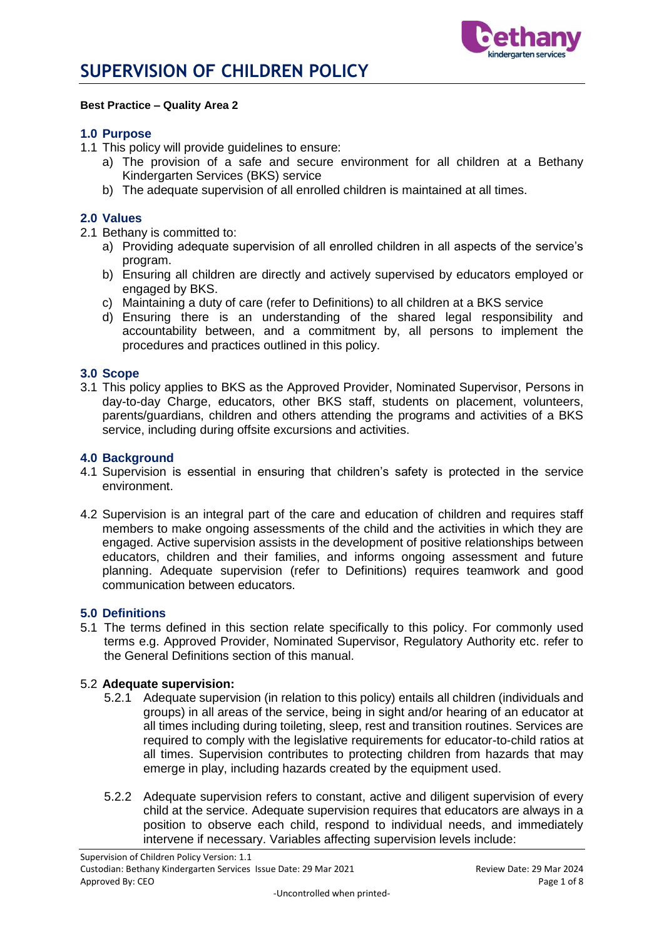

#### **Best Practice – Quality Area 2**

### **1.0 Purpose**

- 1.1 This policy will provide guidelines to ensure:
	- a) The provision of a safe and secure environment for all children at a Bethany Kindergarten Services (BKS) service
	- b) The adequate supervision of all enrolled children is maintained at all times.

### **2.0 Values**

- 2.1 Bethany is committed to:
	- a) Providing adequate supervision of all enrolled children in all aspects of the service's program.
	- b) Ensuring all children are directly and actively supervised by educators employed or engaged by BKS.
	- c) Maintaining a duty of care (refer to Definitions) to all children at a BKS service
	- d) Ensuring there is an understanding of the shared legal responsibility and accountability between, and a commitment by, all persons to implement the procedures and practices outlined in this policy.

#### **3.0 Scope**

3.1 This policy applies to BKS as the Approved Provider, Nominated Supervisor, Persons in day-to-day Charge, educators, other BKS staff, students on placement, volunteers, parents/guardians, children and others attending the programs and activities of a BKS service, including during offsite excursions and activities.

### **4.0 Background**

- 4.1 Supervision is essential in ensuring that children's safety is protected in the service environment.
- 4.2 Supervision is an integral part of the care and education of children and requires staff members to make ongoing assessments of the child and the activities in which they are engaged. Active supervision assists in the development of positive relationships between educators, children and their families, and informs ongoing assessment and future planning. Adequate supervision (refer to Definitions) requires teamwork and good communication between educators.

#### **5.0 Definitions**

5.1 The terms defined in this section relate specifically to this policy. For commonly used terms e.g. Approved Provider, Nominated Supervisor, Regulatory Authority etc. refer to the General Definitions section of this manual.

#### 5.2 **Adequate supervision:**

- 5.2.1 Adequate supervision (in relation to this policy) entails all children (individuals and groups) in all areas of the service, being in sight and/or hearing of an educator at all times including during toileting, sleep, rest and transition routines. Services are required to comply with the legislative requirements for educator-to-child ratios at all times. Supervision contributes to protecting children from hazards that may emerge in play, including hazards created by the equipment used.
- 5.2.2 Adequate supervision refers to constant, active and diligent supervision of every child at the service. Adequate supervision requires that educators are always in a position to observe each child, respond to individual needs, and immediately intervene if necessary. Variables affecting supervision levels include: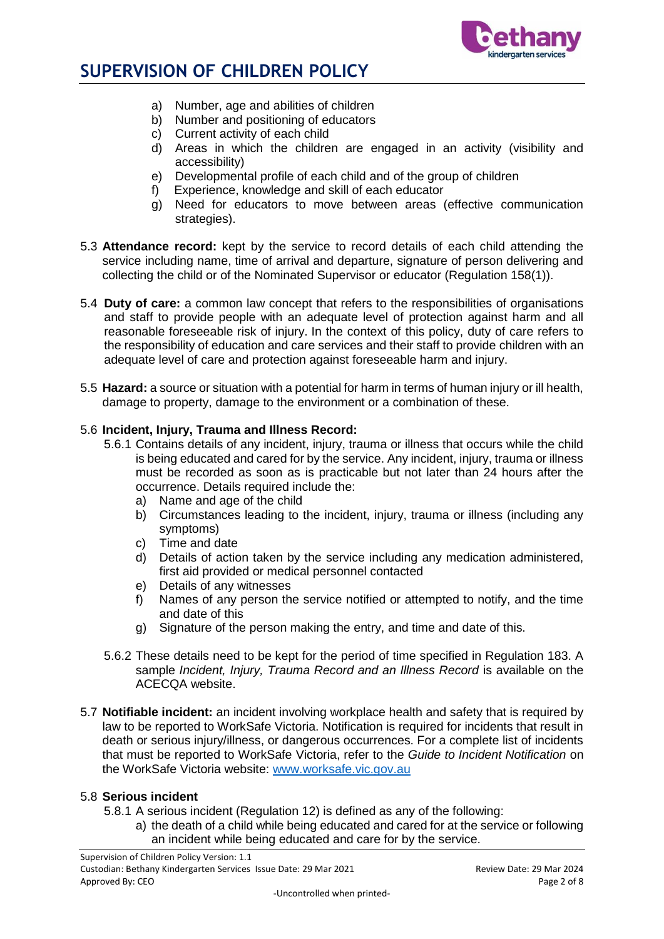

- a) Number, age and abilities of children
- b) Number and positioning of educators
- c) Current activity of each child
- d) Areas in which the children are engaged in an activity (visibility and accessibility)
- e) Developmental profile of each child and of the group of children
- f) Experience, knowledge and skill of each educator
- g) Need for educators to move between areas (effective communication strategies).
- 5.3 **Attendance record:** kept by the service to record details of each child attending the service including name, time of arrival and departure, signature of person delivering and collecting the child or of the Nominated Supervisor or educator (Regulation 158(1)).
- 5.4 **Duty of care:** a common law concept that refers to the responsibilities of organisations and staff to provide people with an adequate level of protection against harm and all reasonable foreseeable risk of injury. In the context of this policy, duty of care refers to the responsibility of education and care services and their staff to provide children with an adequate level of care and protection against foreseeable harm and injury.
- 5.5 **Hazard:** a source or situation with a potential for harm in terms of human injury or ill health, damage to property, damage to the environment or a combination of these.

# 5.6 **Incident, Injury, Trauma and Illness Record:**

- 5.6.1 Contains details of any incident, injury, trauma or illness that occurs while the child is being educated and cared for by the service. Any incident, injury, trauma or illness must be recorded as soon as is practicable but not later than 24 hours after the occurrence. Details required include the:
	- a) Name and age of the child
	- b) Circumstances leading to the incident, injury, trauma or illness (including any symptoms)
	- c) Time and date
	- d) Details of action taken by the service including any medication administered, first aid provided or medical personnel contacted
	- e) Details of any witnesses
	- f) Names of any person the service notified or attempted to notify, and the time and date of this
	- g) Signature of the person making the entry, and time and date of this.
- 5.6.2 These details need to be kept for the period of time specified in Regulation 183. A sample *Incident, Injury, Trauma Record and an Illness Record* is available on the ACECQA website.
- 5.7 **Notifiable incident:** an incident involving workplace health and safety that is required by law to be reported to WorkSafe Victoria. Notification is required for incidents that result in death or serious injury/illness, or dangerous occurrences. For a complete list of incidents that must be reported to WorkSafe Victoria, refer to the *Guide to Incident Notification* on the WorkSafe Victoria website: [www.worksafe.vic.gov.au](http://www.worksafe.vic.gov.au/)

## 5.8 **Serious incident**

- 5.8.1 A serious incident (Regulation 12) is defined as any of the following:
	- a) the death of a child while being educated and cared for at the service or following an incident while being educated and care for by the service.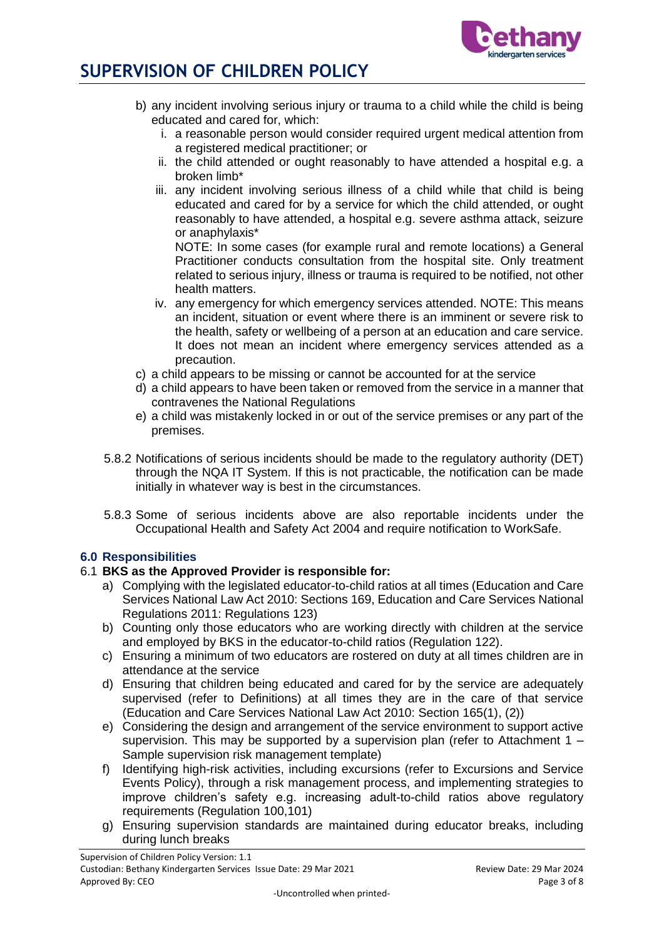

- b) any incident involving serious injury or trauma to a child while the child is being educated and cared for, which:
	- i. a reasonable person would consider required urgent medical attention from a registered medical practitioner; or
	- ii. the child attended or ought reasonably to have attended a hospital e.g. a broken limb\*
	- iii. any incident involving serious illness of a child while that child is being educated and cared for by a service for which the child attended, or ought reasonably to have attended, a hospital e.g. severe asthma attack, seizure or anaphylaxis\*

NOTE: In some cases (for example rural and remote locations) a General Practitioner conducts consultation from the hospital site. Only treatment related to serious injury, illness or trauma is required to be notified, not other health matters.

- iv. any emergency for which emergency services attended. NOTE: This means an incident, situation or event where there is an imminent or severe risk to the health, safety or wellbeing of a person at an education and care service. It does not mean an incident where emergency services attended as a precaution.
- c) a child appears to be missing or cannot be accounted for at the service
- d) a child appears to have been taken or removed from the service in a manner that contravenes the National Regulations
- e) a child was mistakenly locked in or out of the service premises or any part of the premises.
- 5.8.2 Notifications of serious incidents should be made to the regulatory authority (DET) through the NQA IT System. If this is not practicable, the notification can be made initially in whatever way is best in the circumstances.
- 5.8.3 Some of serious incidents above are also reportable incidents under the Occupational Health and Safety Act 2004 and require notification to WorkSafe.

# **6.0 Responsibilities**

# 6.1 **BKS as the Approved Provider is responsible for:**

- a) Complying with the legislated educator-to-child ratios at all times (Education and Care Services National Law Act 2010: Sections 169, Education and Care Services National Regulations 2011: Regulations 123)
- b) Counting only those educators who are working directly with children at the service and employed by BKS in the educator-to-child ratios (Regulation 122).
- c) Ensuring a minimum of two educators are rostered on duty at all times children are in attendance at the service
- d) Ensuring that children being educated and cared for by the service are adequately supervised (refer to Definitions) at all times they are in the care of that service (Education and Care Services National Law Act 2010: Section 165(1), (2))
- e) Considering the design and arrangement of the service environment to support active supervision. This may be supported by a supervision plan (refer to Attachment  $1 -$ Sample supervision risk management template)
- f) Identifying high-risk activities, including excursions (refer to Excursions and Service Events Policy), through a risk management process, and implementing strategies to improve children's safety e.g. increasing adult-to-child ratios above regulatory requirements (Regulation 100,101)
- g) Ensuring supervision standards are maintained during educator breaks, including during lunch breaks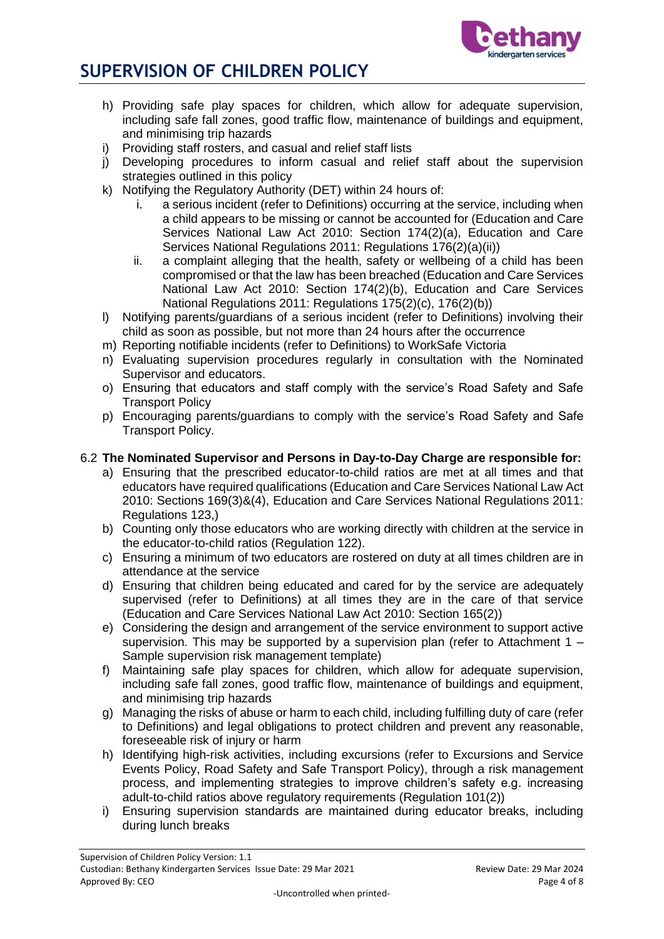

- h) Providing safe play spaces for children, which allow for adequate supervision, including safe fall zones, good traffic flow, maintenance of buildings and equipment, and minimising trip hazards
- i) Providing staff rosters, and casual and relief staff lists
- j) Developing procedures to inform casual and relief staff about the supervision strategies outlined in this policy
- k) Notifying the Regulatory Authority (DET) within 24 hours of:
	- i. a serious incident (refer to Definitions) occurring at the service, including when a child appears to be missing or cannot be accounted for (Education and Care Services National Law Act 2010: Section 174(2)(a), Education and Care Services National Regulations 2011: Regulations 176(2)(a)(ii))
	- ii. a complaint alleging that the health, safety or wellbeing of a child has been compromised or that the law has been breached (Education and Care Services National Law Act 2010: Section 174(2)(b), Education and Care Services National Regulations 2011: Regulations 175(2)(c), 176(2)(b))
- l) Notifying parents/guardians of a serious incident (refer to Definitions) involving their child as soon as possible, but not more than 24 hours after the occurrence
- m) Reporting notifiable incidents (refer to Definitions) to WorkSafe Victoria
- n) Evaluating supervision procedures regularly in consultation with the Nominated Supervisor and educators.
- o) Ensuring that educators and staff comply with the service's Road Safety and Safe Transport Policy
- p) Encouraging parents/guardians to comply with the service's Road Safety and Safe Transport Policy.

# 6.2 **The Nominated Supervisor and Persons in Day-to-Day Charge are responsible for:**

- a) Ensuring that the prescribed educator-to-child ratios are met at all times and that educators have required qualifications (Education and Care Services National Law Act 2010: Sections 169(3)&(4), Education and Care Services National Regulations 2011: Regulations 123,)
- b) Counting only those educators who are working directly with children at the service in the educator-to-child ratios (Regulation 122).
- c) Ensuring a minimum of two educators are rostered on duty at all times children are in attendance at the service
- d) Ensuring that children being educated and cared for by the service are adequately supervised (refer to Definitions) at all times they are in the care of that service (Education and Care Services National Law Act 2010: Section 165(2))
- e) Considering the design and arrangement of the service environment to support active supervision. This may be supported by a supervision plan (refer to Attachment  $1 -$ Sample supervision risk management template)
- f) Maintaining safe play spaces for children, which allow for adequate supervision, including safe fall zones, good traffic flow, maintenance of buildings and equipment, and minimising trip hazards
- g) Managing the risks of abuse or harm to each child, including fulfilling duty of care (refer to Definitions) and legal obligations to protect children and prevent any reasonable, foreseeable risk of injury or harm
- h) Identifying high-risk activities, including excursions (refer to Excursions and Service Events Policy, Road Safety and Safe Transport Policy), through a risk management process, and implementing strategies to improve children's safety e.g. increasing adult-to-child ratios above regulatory requirements (Regulation 101(2))
- i) Ensuring supervision standards are maintained during educator breaks, including during lunch breaks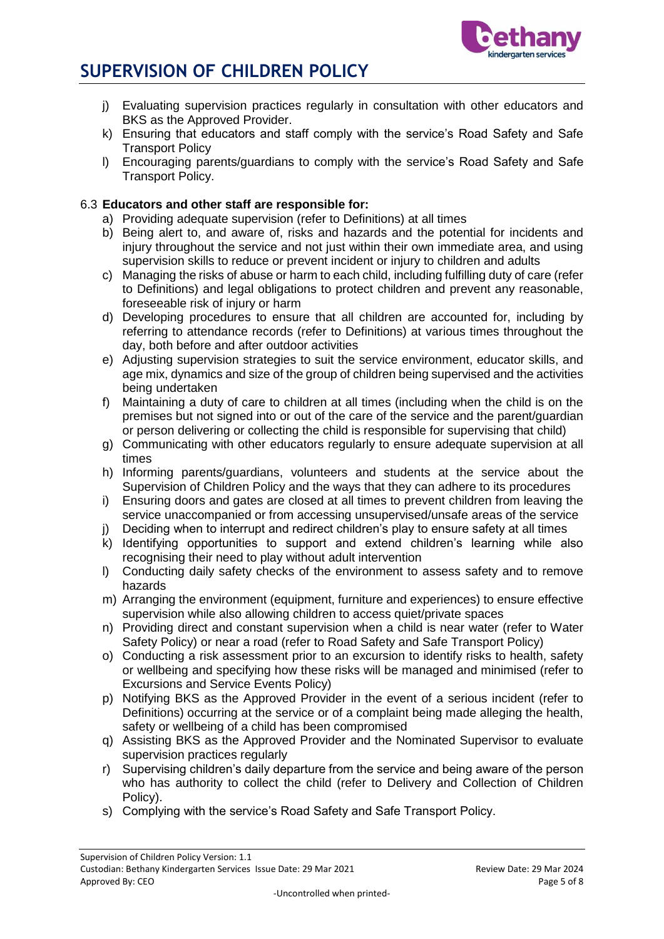

- j) Evaluating supervision practices regularly in consultation with other educators and BKS as the Approved Provider.
- k) Ensuring that educators and staff comply with the service's Road Safety and Safe Transport Policy
- l) Encouraging parents/guardians to comply with the service's Road Safety and Safe Transport Policy.

# 6.3 **Educators and other staff are responsible for:**

- a) Providing adequate supervision (refer to Definitions) at all times
- b) Being alert to, and aware of, risks and hazards and the potential for incidents and injury throughout the service and not just within their own immediate area, and using supervision skills to reduce or prevent incident or injury to children and adults
- c) Managing the risks of abuse or harm to each child, including fulfilling duty of care (refer to Definitions) and legal obligations to protect children and prevent any reasonable, foreseeable risk of injury or harm
- d) Developing procedures to ensure that all children are accounted for, including by referring to attendance records (refer to Definitions) at various times throughout the day, both before and after outdoor activities
- e) Adjusting supervision strategies to suit the service environment, educator skills, and age mix, dynamics and size of the group of children being supervised and the activities being undertaken
- f) Maintaining a duty of care to children at all times (including when the child is on the premises but not signed into or out of the care of the service and the parent/guardian or person delivering or collecting the child is responsible for supervising that child)
- g) Communicating with other educators regularly to ensure adequate supervision at all times
- h) Informing parents/guardians, volunteers and students at the service about the Supervision of Children Policy and the ways that they can adhere to its procedures
- i) Ensuring doors and gates are closed at all times to prevent children from leaving the service unaccompanied or from accessing unsupervised/unsafe areas of the service
- j) Deciding when to interrupt and redirect children's play to ensure safety at all times
- k) Identifying opportunities to support and extend children's learning while also recognising their need to play without adult intervention
- l) Conducting daily safety checks of the environment to assess safety and to remove hazards
- m) Arranging the environment (equipment, furniture and experiences) to ensure effective supervision while also allowing children to access quiet/private spaces
- n) Providing direct and constant supervision when a child is near water (refer to Water Safety Policy) or near a road (refer to Road Safety and Safe Transport Policy)
- o) Conducting a risk assessment prior to an excursion to identify risks to health, safety or wellbeing and specifying how these risks will be managed and minimised (refer to Excursions and Service Events Policy)
- p) Notifying BKS as the Approved Provider in the event of a serious incident (refer to Definitions) occurring at the service or of a complaint being made alleging the health, safety or wellbeing of a child has been compromised
- q) Assisting BKS as the Approved Provider and the Nominated Supervisor to evaluate supervision practices regularly
- r) Supervising children's daily departure from the service and being aware of the person who has authority to collect the child (refer to Delivery and Collection of Children Policy).
- s) Complying with the service's Road Safety and Safe Transport Policy.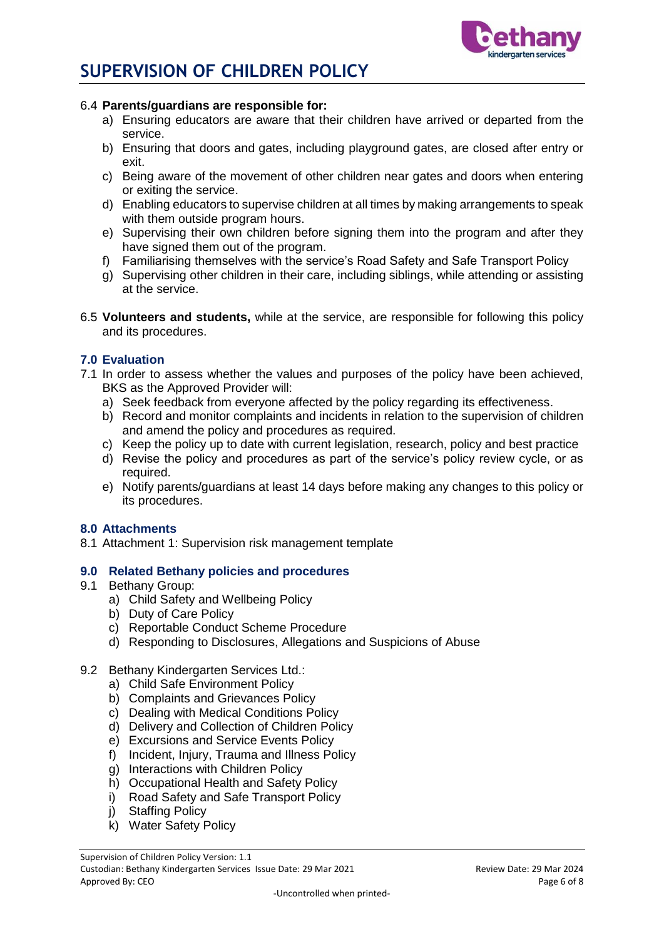



#### 6.4 **Parents/guardians are responsible for:**

- a) Ensuring educators are aware that their children have arrived or departed from the service.
- b) Ensuring that doors and gates, including playground gates, are closed after entry or exit.
- c) Being aware of the movement of other children near gates and doors when entering or exiting the service.
- d) Enabling educators to supervise children at all times by making arrangements to speak with them outside program hours.
- e) Supervising their own children before signing them into the program and after they have signed them out of the program.
- f) Familiarising themselves with the service's Road Safety and Safe Transport Policy
- g) Supervising other children in their care, including siblings, while attending or assisting at the service.
- 6.5 **Volunteers and students,** while at the service, are responsible for following this policy and its procedures.

## **7.0 Evaluation**

- 7.1 In order to assess whether the values and purposes of the policy have been achieved, BKS as the Approved Provider will:
	- a) Seek feedback from everyone affected by the policy regarding its effectiveness.
	- b) Record and monitor complaints and incidents in relation to the supervision of children and amend the policy and procedures as required.
	- c) Keep the policy up to date with current legislation, research, policy and best practice
	- d) Revise the policy and procedures as part of the service's policy review cycle, or as required.
	- e) Notify parents/guardians at least 14 days before making any changes to this policy or its procedures.

## **8.0 Attachments**

8.1 Attachment 1: Supervision risk management template

## **9.0 Related Bethany policies and procedures**

- 9.1 Bethany Group:
	- a) Child Safety and Wellbeing Policy
	- b) Duty of Care Policy
	- c) Reportable Conduct Scheme Procedure
	- d) Responding to Disclosures, Allegations and Suspicions of Abuse

## 9.2 Bethany Kindergarten Services Ltd.:

- a) Child Safe Environment Policy
- b) Complaints and Grievances Policy
- c) Dealing with Medical Conditions Policy
- d) Delivery and Collection of Children Policy
- e) Excursions and Service Events Policy
- f) Incident, Injury, Trauma and Illness Policy
- g) Interactions with Children Policy
- h) Occupational Health and Safety Policy
- i) Road Safety and Safe Transport Policy
- j) Staffing Policy
- k) Water Safety Policy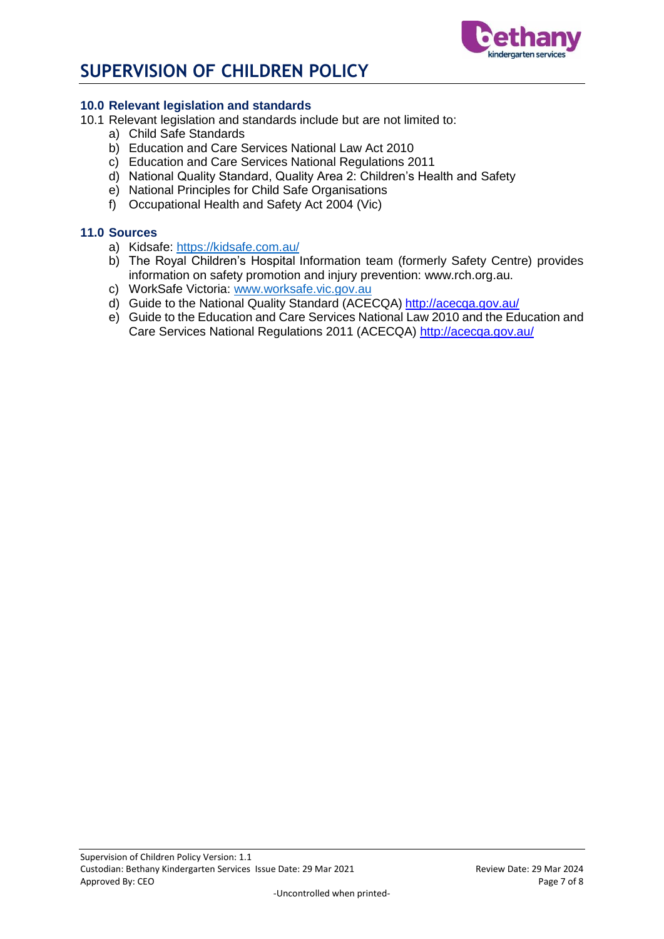

# **10.0 Relevant legislation and standards**

- 10.1 Relevant legislation and standards include but are not limited to:
	- a) Child Safe Standards
	- b) Education and Care Services National Law Act 2010
	- c) Education and Care Services National Regulations 2011
	- d) National Quality Standard, Quality Area 2: Children's Health and Safety
	- e) National Principles for Child Safe Organisations
	- f) Occupational Health and Safety Act 2004 (Vic)

## **11.0 Sources**

- a) Kidsafe:<https://kidsafe.com.au/>
- b) The Royal Children's Hospital Information team (formerly Safety Centre) provides information on safety promotion and injury prevention: www.rch.org.au.
- c) WorkSafe Victoria: [www.worksafe.vic.gov.au](http://www.worksafe.vic.gov.au/)
- d) Guide to the National Quality Standard (ACECQA) <http://acecqa.gov.au/>
- e) Guide to the Education and Care Services National Law 2010 and the Education and Care Services National Regulations 2011 (ACECQA) <http://acecqa.gov.au/>